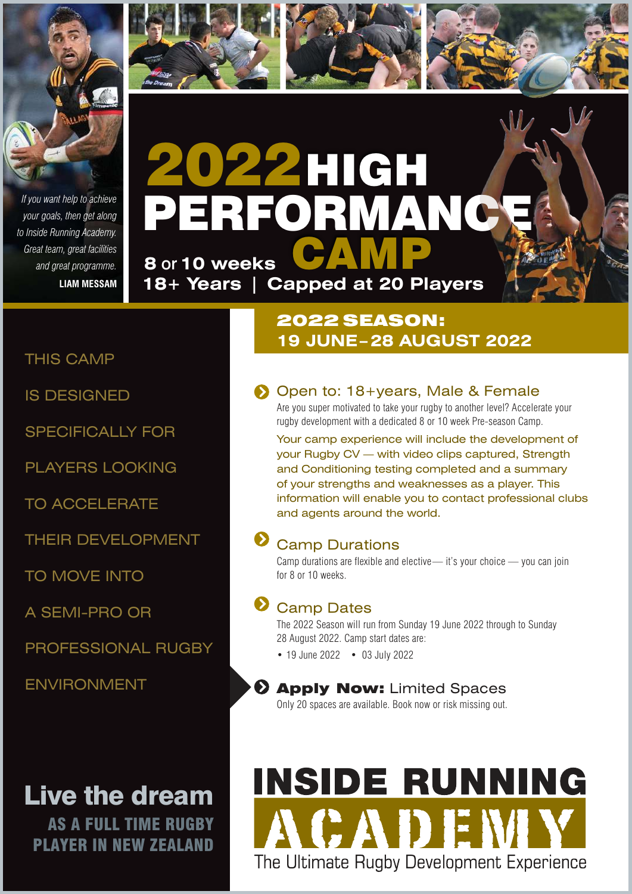

*If you want help to achieve your goals, then get along to Inside Running Academy. Great team, great facilities and great programme.* **LIAM MESSAM**



**18+ Years | Capped at 20 Players**

## THIS CAMP

IS DESIGNED

SPECIFICALLY FOR

PLAYERS LOOKING

TO ACCELERATE

THEIR DEVELOPMENT

TO MOVE INTO

A SEMI-PRO OR

PROFESSIONAL RUGBY

ENVIRONMENT

## Live the dream

AS A FULL TIME RUGBY PLAYER IN NEW ZEALAND

## 2022 SEASON: **19 JUNE – 28 AUGUST 2022**

## **Open to: 18+years, Male & Female**

Are you super motivated to take your rugby to another level? Accelerate your rugby development with a dedicated 8 or 10 week Pre-season Camp.

Your camp experience will include the development of your Rugby CV — with video clips captured, Strength and Conditioning testing completed and a summary of your strengths and weaknesses as a player. This information will enable you to contact professional clubs and agents around the world.

## Camp Durations

Camp durations are flexible and elective— it's your choice — you can join for 8 or 10 weeks.

## **D** Camp Dates

The 2022 Season will run from Sunday 19 June 2022 through to Sunday 28 August 2022. Camp start dates are:

• 19 June 2022 • 03 July 2022

#### **2 Apply Now: Limited Spaces**

Only 20 spaces are available. Book now or risk missing out.

# **INSIDE RUNNING** ACADEM The Ultimate Rugby Development Experience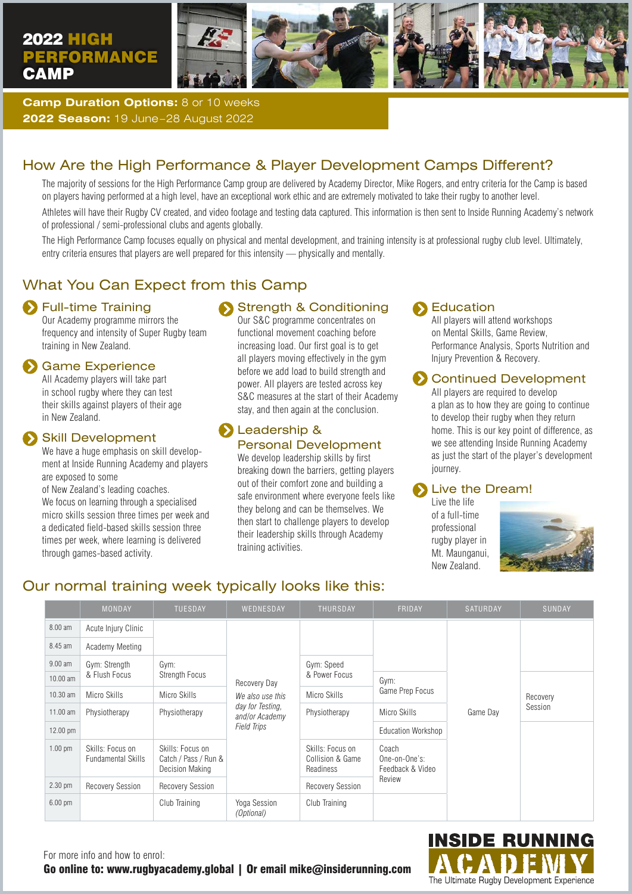## 2022 HIGH **PERFORMANCE CAMP**







**Camp Duration Options:** 8 or 10 weeks **2022 Season:** 19 June–28 August 2022

## How Are the High Performance & Player Development Camps Different?

The majority of sessions for the High Performance Camp group are delivered by Academy Director, Mike Rogers, and entry criteria for the Camp is based on players having performed at a high level, have an exceptional work ethic and are extremely motivated to take their rugby to another level.

Athletes will have their Rugby CV created, and video footage and testing data captured. This information is then sent to Inside Running Academy's network of professional / semi-professional clubs and agents globally.

The High Performance Camp focuses equally on physical and mental development, and training intensity is at professional rugby club level. Ultimately, entry criteria ensures that players are well prepared for this intensity — physically and mentally.

## What You Can Expect from this Camp

#### **S** Full-time Training

Our Academy programme mirrors the frequency and intensity of Super Rugby team training in New Zealand.

#### Game Experience

All Academy players will take part in school rugby where they can test their skills against players of their age in New Zealand.

#### Skill Development

We have a huge emphasis on skill development at Inside Running Academy and players are exposed to some

of New Zealand's leading coaches.

We focus on learning through a specialised micro skills session three times per week and a dedicated field-based skills session three times per week, where learning is delivered through games-based activity.

## Strength & Conditioning

Our S&C programme concentrates on functional movement coaching before increasing load. Our first goal is to get all players moving effectively in the gym before we add load to build strength and power. All players are tested across key S&C measures at the start of their Academy stay, and then again at the conclusion.

#### **Leadership &** Personal Development

We develop leadership skills by first breaking down the barriers, getting players out of their comfort zone and building a safe environment where everyone feels like they belong and can be themselves. We then start to challenge players to develop their leadership skills through Academy training activities.

#### Education

All players will attend workshops on Mental Skills, Game Review, Performance Analysis, Sports Nutrition and Injury Prevention & Recovery.

#### **S** Continued Development

All players are required to develop a plan as to how they are going to continue to develop their rugby when they return home. This is our key point of difference, as we see attending Inside Running Academy as just the start of the player's development journey.

#### Live the Dream!

Live the life of a full-time professional rugby player in Mt. Maunganui, New Zealand.



## Our normal training week typically looks like this:

|                   | <b>MONDAY</b>                                 | <b>TUESDAY</b>                                                     | WEDNESDAY                                                                                    | <b>THURSDAY</b>                                   | <b>FRIDAY</b>                                        | <b>SATURDAY</b> | <b>SUNDAY</b>       |
|-------------------|-----------------------------------------------|--------------------------------------------------------------------|----------------------------------------------------------------------------------------------|---------------------------------------------------|------------------------------------------------------|-----------------|---------------------|
| 8.00 am           | Acute Injury Clinic                           |                                                                    |                                                                                              |                                                   |                                                      |                 |                     |
| 8.45 am           | Academy Meeting                               |                                                                    |                                                                                              |                                                   |                                                      |                 |                     |
| $9.00$ am         | Gym: Strength<br>& Flush Focus                | Gym:                                                               |                                                                                              | Gym: Speed<br>& Power Focus                       |                                                      | Game Day        |                     |
| 10.00 am          |                                               | Strength Focus                                                     | Recovery Day<br>We also use this<br>day for Testing,<br>and/or Academy<br><b>Field Trips</b> |                                                   | Gym:<br>Game Prep Focus                              |                 | Recovery<br>Session |
| 10.30 am          | Micro Skills                                  | Micro Skills                                                       |                                                                                              | Micro Skills                                      |                                                      |                 |                     |
| 11.00 am          | Physiotherapy                                 | Physiotherapy                                                      |                                                                                              | Physiotherapy                                     | Micro Skills                                         |                 |                     |
| 12.00 pm          |                                               |                                                                    |                                                                                              |                                                   | <b>Education Workshop</b>                            |                 |                     |
| $1.00$ pm         | Skills: Focus on<br><b>Fundamental Skills</b> | Skills: Focus on<br>Catch / Pass / Run &<br><b>Decision Making</b> |                                                                                              | Skills: Focus on<br>Collision & Game<br>Readiness | Coach<br>One-on-One's:<br>Feedback & Video<br>Review |                 |                     |
| $2.30$ pm         | Recovery Session                              | <b>Recovery Session</b>                                            |                                                                                              | <b>Recovery Session</b>                           |                                                      |                 |                     |
| $6.00 \text{ pm}$ |                                               | Club Training                                                      | Yoga Session<br>(Optional)                                                                   | Club Training                                     |                                                      |                 |                     |



For more info and how to enrol: Go online to: www.rugbyacademy.global | Or email mike@insiderunning.com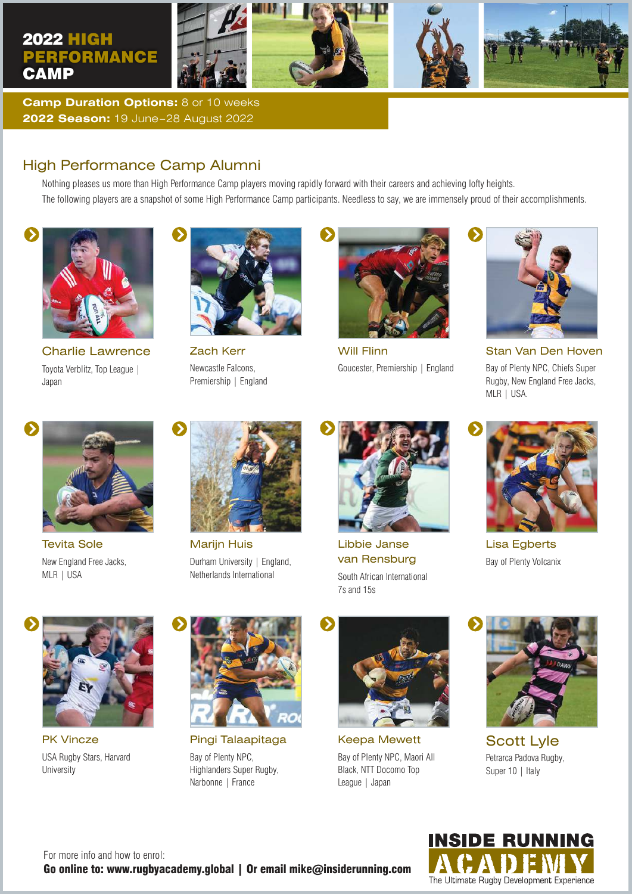

**Camp Duration Options:** 8 or 10 weeks **2022 Season:** 19 June–28 August 2022

#### High Performance Camp Alumni

Nothing pleases us more than High Performance Camp players moving rapidly forward with their careers and achieving lofty heights. The following players are a snapshot of some High Performance Camp participants. Needless to say, we are immensely proud of their accomplishments.



Charlie Lawrence Toyota Verblitz, Top League | Japan



Zach Kerr Newcastle Falcons, Premiership | England



Will Flinn Goucester, Premiership | England



Stan Van Den Hoven Bay of Plenty NPC, Chiefs Super Rugby, New England Free Jacks, MLR | USA.



Tevita Sole New England Free Jacks, MLR | USA



Marijn Huis Durham University | England, Netherlands International



Libbie Janse van Rensburg South African International 7s and 15s



Lisa Egberts Bay of Plenty Volcanix



PK Vincze USA Rugby Stars, Harvard **University** 



Pingi Talaapitaga Bay of Plenty NPC, Highlanders Super Rugby, Narbonne | France



Keepa Mewett Bay of Plenty NPC, Maori All Black, NTT Docomo Top League | Japan



Scott Lyle Petrarca Padova Rugby, Super 10 | Italy